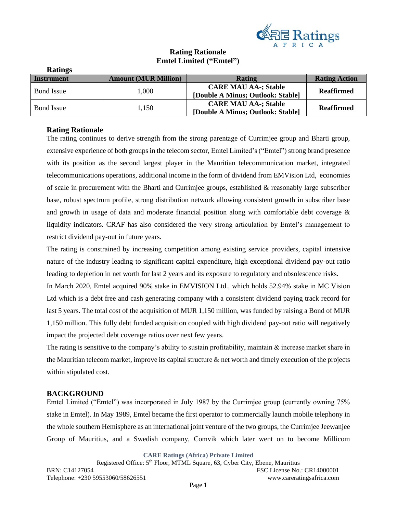

# **Rating Rationale Emtel Limited ("Emtel")**

| Raungs            |                             |                                   |                      |  |
|-------------------|-----------------------------|-----------------------------------|----------------------|--|
| Instrument        | <b>Amount (MUR Million)</b> | <b>Rating</b>                     | <b>Rating Action</b> |  |
| <b>Bond</b> Issue | 1,000                       | <b>CARE MAU AA-; Stable</b>       | <b>Reaffirmed</b>    |  |
|                   |                             | [Double A Minus; Outlook: Stable] |                      |  |
| <b>Bond Issue</b> | 1.150                       | <b>CARE MAU AA-; Stable</b>       | <b>Reaffirmed</b>    |  |
|                   |                             | [Double A Minus; Outlook: Stable] |                      |  |

## **Rating Rationale**

**Ratings**

The rating continues to derive strength from the strong parentage of Currimjee group and Bharti group, extensive experience of both groups in the telecom sector, Emtel Limited's ("Emtel") strong brand presence with its position as the second largest player in the Mauritian telecommunication market, integrated telecommunications operations, additional income in the form of dividend from EMVision Ltd, economies of scale in procurement with the Bharti and Currimjee groups, established & reasonably large subscriber base, robust spectrum profile, strong distribution network allowing consistent growth in subscriber base and growth in usage of data and moderate financial position along with comfortable debt coverage & liquidity indicators. CRAF has also considered the very strong articulation by Emtel's management to restrict dividend pay-out in future years.

The rating is constrained by increasing competition among existing service providers, capital intensive nature of the industry leading to significant capital expenditure, high exceptional dividend pay-out ratio leading to depletion in net worth for last 2 years and its exposure to regulatory and obsolescence risks.

In March 2020, Emtel acquired 90% stake in EMVISION Ltd., which holds 52.94% stake in MC Vision Ltd which is a debt free and cash generating company with a consistent dividend paying track record for last 5 years. The total cost of the acquisition of MUR 1,150 million, was funded by raising a Bond of MUR 1,150 million. This fully debt funded acquisition coupled with high dividend pay-out ratio will negatively impact the projected debt coverage ratios over next few years.

The rating is sensitive to the company's ability to sustain profitability, maintain & increase market share in the Mauritian telecom market, improve its capital structure & net worth and timely execution of the projects within stipulated cost.

## **BACKGROUND**

Emtel Limited ("Emtel") was incorporated in July 1987 by the Currimjee group (currently owning 75% stake in Emtel). In May 1989, Emtel became the first operator to commercially launch mobile telephony in the whole southern Hemisphere as an international joint venture of the two groups, the Currimjee Jeewanjee Group of Mauritius, and a Swedish company, Comvik which later went on to become Millicom

**CARE Ratings (Africa) Private Limited**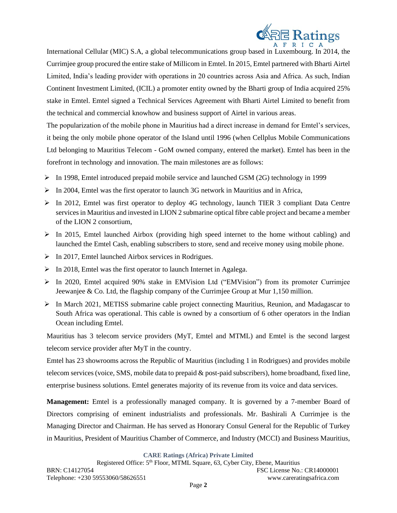

International Cellular (MIC) S.A, a global telecommunications group based in Luxembourg. In 2014, the Currimjee group procured the entire stake of Millicom in Emtel. In 2015, Emtel partnered with Bharti Airtel Limited, India's leading provider with operations in 20 countries across Asia and Africa. As such, Indian Continent Investment Limited, (ICIL) a promoter entity owned by the Bharti group of India acquired 25% stake in Emtel. Emtel signed a Technical Services Agreement with Bharti Airtel Limited to benefit from the technical and commercial knowhow and business support of Airtel in various areas.

The popularization of the mobile phone in Mauritius had a direct increase in demand for Emtel's services, it being the only mobile phone operator of the Island until 1996 (when Cellplus Mobile Communications Ltd belonging to Mauritius Telecom - GoM owned company, entered the market). Emtel has been in the forefront in technology and innovation. The main milestones are as follows:

- $\triangleright$  In 1998, Emtel introduced prepaid mobile service and launched GSM (2G) technology in 1999
- $\triangleright$  In 2004, Emtel was the first operator to launch 3G network in Mauritius and in Africa,
- ➢ In 2012, Emtel was first operator to deploy 4G technology, launch TIER 3 compliant Data Centre services in Mauritius and invested in LION 2 submarine optical fibre cable project and became a member of the LION 2 consortium,
- ➢ In 2015, Emtel launched Airbox (providing high speed internet to the home without cabling) and launched the Emtel Cash, enabling subscribers to store, send and receive money using mobile phone.
- ➢ In 2017, Emtel launched Airbox services in Rodrigues.
- ➢ In 2018, Emtel was the first operator to launch Internet in Agalega.
- ➢ In 2020, Emtel acquired 90% stake in EMVision Ltd ("EMVision") from its promoter Currimjee Jeewanjee & Co. Ltd, the flagship company of the Currimjee Group at Mur 1,150 million.
- $\triangleright$  In March 2021, METISS submarine cable project connecting Mauritius, Reunion, and Madagascar to South Africa was operational. This cable is owned by a consortium of 6 other operators in the Indian Ocean including Emtel.

Mauritius has 3 telecom service providers (MyT, Emtel and MTML) and Emtel is the second largest telecom service provider after MyT in the country.

Emtel has 23 showrooms across the Republic of Mauritius (including 1 in Rodrigues) and provides mobile telecom services (voice, SMS, mobile data to prepaid & post-paid subscribers), home broadband, fixed line, enterprise business solutions. Emtel generates majority of its revenue from its voice and data services.

**Management:** Emtel is a professionally managed company. It is governed by a 7-member Board of Directors comprising of eminent industrialists and professionals. Mr. Bashirali A Currimjee is the Managing Director and Chairman. He has served as Honorary Consul General for the Republic of Turkey in Mauritius, President of Mauritius Chamber of Commerce, and Industry (MCCI) and Business Mauritius,

**CARE Ratings (Africa) Private Limited**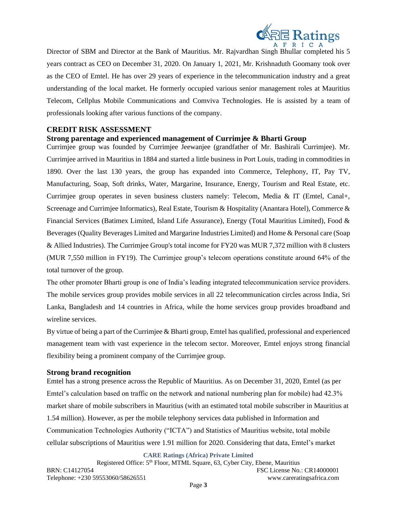

Director of SBM and Director at the Bank of Mauritius. Mr. Rajvardhan Singh Bhullar completed his 5 years contract as CEO on December 31, 2020. On January 1, 2021, Mr. Krishnaduth Goomany took over as the CEO of Emtel. He has over 29 years of experience in the telecommunication industry and a great understanding of the local market. He formerly occupied various senior management roles at Mauritius Telecom, Cellplus Mobile Communications and Comviva Technologies. He is assisted by a team of professionals looking after various functions of the company.

## **CREDIT RISK ASSESSMENT**

## **Strong parentage and experienced management of Currimjee & Bharti Group**

Currimjee group was founded by Currimjee Jeewanjee (grandfather of Mr. Bashirali Currimjee). Mr. Currimjee arrived in Mauritius in 1884 and started a little business in Port Louis, trading in commodities in 1890. Over the last 130 years, the group has expanded into Commerce, Telephony, IT, Pay TV, Manufacturing, Soap, Soft drinks, Water, Margarine, Insurance, Energy, Tourism and Real Estate, etc. Currimjee group operates in seven business clusters namely: Telecom, Media & IT (Emtel, Canal+, Screenage and Currimjee Informatics), Real Estate, Tourism & Hospitality (Anantara Hotel), Commerce & Financial Services (Batimex Limited, Island Life Assurance), Energy (Total Mauritius Limited), Food & Beverages (Quality Beverages Limited and Margarine Industries Limited) and Home & Personal care (Soap & Allied Industries). The Currimjee Group's total income for FY20 was MUR 7,372 million with 8 clusters (MUR 7,550 million in FY19). The Currimjee group's telecom operations constitute around 64% of the total turnover of the group.

The other promoter Bharti group is one of India's leading integrated telecommunication service providers. The mobile services group provides mobile services in all 22 telecommunication circles across India, Sri Lanka, Bangladesh and 14 countries in Africa, while the home services group provides broadband and wireline services.

By virtue of being a part of the Currimjee & Bharti group, Emtel has qualified, professional and experienced management team with vast experience in the telecom sector. Moreover, Emtel enjoys strong financial flexibility being a prominent company of the Currimjee group.

### **Strong brand recognition**

Emtel has a strong presence across the Republic of Mauritius. As on December 31, 2020, Emtel (as per Emtel's calculation based on traffic on the network and national numbering plan for mobile) had 42.3% market share of mobile subscribers in Mauritius (with an estimated total mobile subscriber in Mauritius at 1.54 million). However, as per the mobile telephony services data published in Information and Communication Technologies Authority ("ICTA") and Statistics of Mauritius website, total mobile cellular subscriptions of Mauritius were 1.91 million for 2020. Considering that data, Emtel's market

**CARE Ratings (Africa) Private Limited**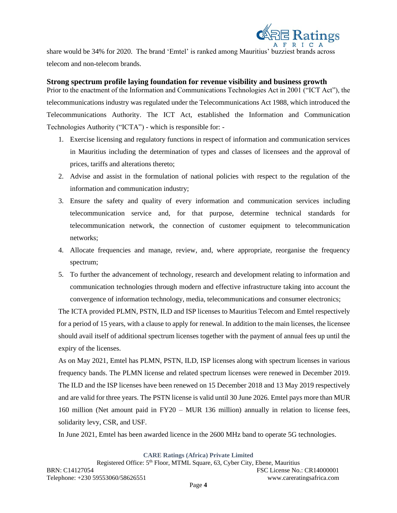

share would be 34% for 2020. The brand 'Emtel' is ranked among Mauritius' buzziest brands across telecom and non-telecom brands.

## **Strong spectrum profile laying foundation for revenue visibility and business growth**

Prior to the enactment of the Information and Communications Technologies Act in 2001 ("ICT Act"), the telecommunications industry was regulated under the Telecommunications Act 1988, which introduced the Telecommunications Authority. The ICT Act, established the Information and Communication Technologies Authority ("ICTA") - which is responsible for: -

- 1. Exercise licensing and regulatory functions in respect of information and communication services in Mauritius including the determination of types and classes of licensees and the approval of prices, tariffs and alterations thereto;
- 2. Advise and assist in the formulation of national policies with respect to the regulation of the information and communication industry;
- 3. Ensure the safety and quality of every information and communication services including telecommunication service and, for that purpose, determine technical standards for telecommunication network, the connection of customer equipment to telecommunication networks;
- 4. Allocate frequencies and manage, review, and, where appropriate, reorganise the frequency spectrum;
- 5. To further the advancement of technology, research and development relating to information and communication technologies through modern and effective infrastructure taking into account the convergence of information technology, media, telecommunications and consumer electronics;

The ICTA provided PLMN, PSTN, ILD and ISP licenses to Mauritius Telecom and Emtel respectively for a period of 15 years, with a clause to apply for renewal. In addition to the main licenses, the licensee should avail itself of additional spectrum licenses together with the payment of annual fees up until the expiry of the licenses.

As on May 2021, Emtel has PLMN, PSTN, ILD, ISP licenses along with spectrum licenses in various frequency bands. The PLMN license and related spectrum licenses were renewed in December 2019. The ILD and the ISP licenses have been renewed on 15 December 2018 and 13 May 2019 respectively and are valid for three years. The PSTN license is valid until 30 June 2026. Emtel pays more than MUR 160 million (Net amount paid in FY20 – MUR 136 million) annually in relation to license fees, solidarity levy, CSR, and USF.

In June 2021, Emtel has been awarded licence in the 2600 MHz band to operate 5G technologies.

**CARE Ratings (Africa) Private Limited**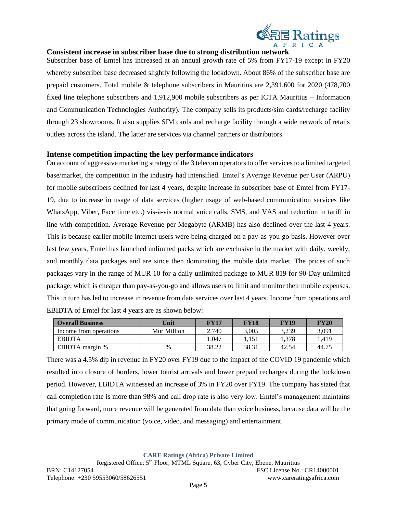

## **Consistent increase in subscriber base due to strong distribution network**

Subscriber base of Emtel has increased at an annual growth rate of 5% from FY17-19 except in FY20 whereby subscriber base decreased slightly following the lockdown. About 86% of the subscriber base are prepaid customers. Total mobile & telephone subscribers in Mauritius are 2,391,600 for 2020 (478,700 fixed line telephone subscribers and 1,912,900 mobile subscribers as per ICTA Mauritius – Information and Communication Technologies Authority). The company sells its products/sim cards/recharge facility through 23 showrooms. It also supplies SIM cards and recharge facility through a wide network of retails outlets across the island. The latter are services via channel partners or distributors.

## **Intense competition impacting the key performance indicators**

On account of aggressive marketing strategy of the 3 telecom operators to offer services to a limited targeted base/market, the competition in the industry had intensified. Emtel's Average Revenue per User (ARPU) for mobile subscribers declined for last 4 years, despite increase in subscriber base of Emtel from FY17- 19, due to increase in usage of data services (higher usage of web-based communication services like WhatsApp, Viber, Face time etc.) vis-à-vis normal voice calls, SMS, and VAS and reduction in tariff in line with competition. Average Revenue per Megabyte (ARMB) has also declined over the last 4 years. This is because earlier mobile internet users were being charged on a pay-as-you-go basis. However over last few years, Emtel has launched unlimited packs which are exclusive in the market with daily, weekly, and monthly data packages and are since then dominating the mobile data market. The prices of such packages vary in the range of MUR 10 for a daily unlimited package to MUR 819 for 90-Day unlimited package, which is cheaper than pay-as-you-go and allows users to limit and monitor their mobile expenses. This in turn has led to increase in revenue from data services over last 4 years. Income from operations and EBIDTA of Emtel for last 4 years are as shown below:

| <b>Overall Business</b> | Unit        | FY17  | <b>FY18</b> | FY19  | <b>FY20</b> |
|-------------------------|-------------|-------|-------------|-------|-------------|
| Income from operations  | Mur Million | 2.740 | 3.005       | 3.239 | 3,091       |
| <b>EBIDTA</b>           |             | .047  | 1.151       | .,378 | .419        |
| EBIDTA margin %         | $\%$        | 38.22 | 38.31       | 42.54 | 44.75       |

There was a 4.5% dip in revenue in FY20 over FY19 due to the impact of the COVID 19 pandemic which resulted into closure of borders, lower tourist arrivals and lower prepaid recharges during the lockdown period. However, EBIDTA witnessed an increase of 3% in FY20 over FY19. The company has stated that call completion rate is more than 98% and call drop rate is also very low. Emtel's management maintains that going forward, more revenue will be generated from data than voice business, because data will be the primary mode of communication (voice, video, and messaging) and entertainment.

**CARE Ratings (Africa) Private Limited**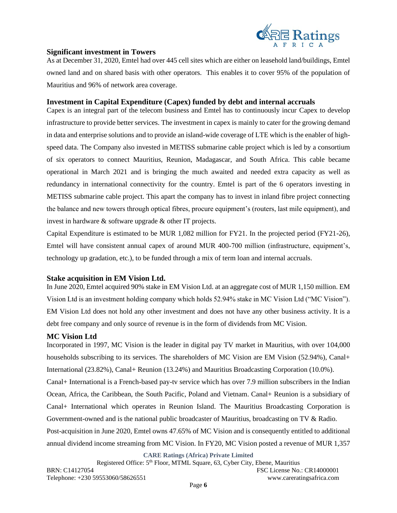

## **Significant investment in Towers**

As at December 31, 2020, Emtel had over 445 cell sites which are either on leasehold land/buildings, Emtel owned land and on shared basis with other operators. This enables it to cover 95% of the population of Mauritius and 96% of network area coverage.

## **Investment in Capital Expenditure (Capex) funded by debt and internal accruals**

Capex is an integral part of the telecom business and Emtel has to continuously incur Capex to develop infrastructure to provide better services. The investment in capex is mainly to cater for the growing demand in data and enterprise solutions and to provide an island-wide coverage of LTE which is the enabler of highspeed data. The Company also invested in METISS submarine cable project which is led by a consortium of six operators to connect Mauritius, Reunion, Madagascar, and South Africa. This cable became operational in March 2021 and is bringing the much awaited and needed extra capacity as well as redundancy in international connectivity for the country. Emtel is part of the 6 operators investing in METISS submarine cable project. This apart the company has to invest in inland fibre project connecting the balance and new towers through optical fibres, procure equipment's (routers, last mile equipment), and invest in hardware & software upgrade & other IT projects.

Capital Expenditure is estimated to be MUR 1,082 million for FY21. In the projected period (FY21-26), Emtel will have consistent annual capex of around MUR 400-700 million (infrastructure, equipment's, technology up gradation, etc.), to be funded through a mix of term loan and internal accruals.

### **Stake acquisition in EM Vision Ltd.**

In June 2020, Emtel acquired 90% stake in EM Vision Ltd. at an aggregate cost of MUR 1,150 million. EM Vision Ltd is an investment holding company which holds 52.94% stake in MC Vision Ltd ("MC Vision"). EM Vision Ltd does not hold any other investment and does not have any other business activity. It is a debt free company and only source of revenue is in the form of dividends from MC Vision.

### **MC Vision Ltd**

Incorporated in 1997, MC Vision is the leader in digital pay TV market in Mauritius, with over 104,000 households subscribing to its services. The shareholders of MC Vision are EM Vision (52.94%), Canal+ International (23.82%), Canal+ Reunion (13.24%) and Mauritius Broadcasting Corporation (10.0%). Canal+ International is a French-based pay-tv service which has over 7.9 million subscribers in the Indian Ocean, Africa, the Caribbean, the South Pacific, Poland and Vietnam. Canal+ Reunion is a subsidiary of Canal+ International which operates in Reunion Island. The Mauritius Broadcasting Corporation is Government-owned and is the national public broadcaster of Mauritius, broadcasting on TV & Radio. Post-acquisition in June 2020, Emtel owns 47.65% of MC Vision and is consequently entitled to additional annual dividend income streaming from MC Vision. In FY20, MC Vision posted a revenue of MUR 1,357

**CARE Ratings (Africa) Private Limited**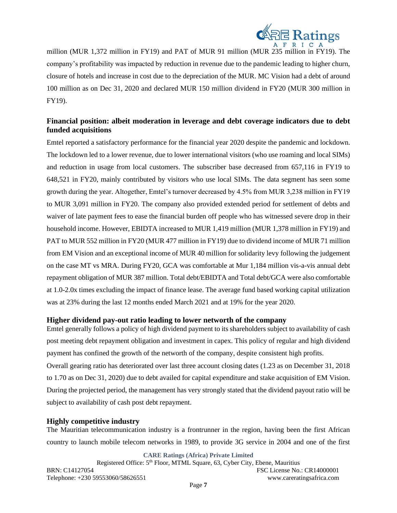

million (MUR 1,372 million in FY19) and PAT of MUR 91 million (MUR 235 million in FY19). The company's profitability was impacted by reduction in revenue due to the pandemic leading to higher churn, closure of hotels and increase in cost due to the depreciation of the MUR. MC Vision had a debt of around 100 million as on Dec 31, 2020 and declared MUR 150 million dividend in FY20 (MUR 300 million in FY19).

# **Financial position: albeit moderation in leverage and debt coverage indicators due to debt funded acquisitions**

Emtel reported a satisfactory performance for the financial year 2020 despite the pandemic and lockdown. The lockdown led to a lower revenue, due to lower international visitors (who use roaming and local SIMs) and reduction in usage from local customers. The subscriber base decreased from 657,116 in FY19 to 648,521 in FY20, mainly contributed by visitors who use local SIMs. The data segment has seen some growth during the year. Altogether, Emtel's turnover decreased by 4.5% from MUR 3,238 million in FY19 to MUR 3,091 million in FY20. The company also provided extended period for settlement of debts and waiver of late payment fees to ease the financial burden off people who has witnessed severe drop in their household income. However, EBIDTA increased to MUR 1,419 million (MUR 1,378 million in FY19) and PAT to MUR 552 million in FY20 (MUR 477 million in FY19) due to dividend income of MUR 71 million from EM Vision and an exceptional income of MUR 40 million for solidarity levy following the judgement on the case MT vs MRA. During FY20, GCA was comfortable at Mur 1,184 million vis-a-vis annual debt repayment obligation of MUR 387 million. Total debt/EBIDTA and Total debt/GCA were also comfortable at 1.0-2.0x times excluding the impact of finance lease. The average fund based working capital utilization was at 23% during the last 12 months ended March 2021 and at 19% for the year 2020.

### **Higher dividend pay-out ratio leading to lower networth of the company**

Emtel generally follows a policy of high dividend payment to its shareholders subject to availability of cash post meeting debt repayment obligation and investment in capex. This policy of regular and high dividend payment has confined the growth of the networth of the company, despite consistent high profits. Overall gearing ratio has deteriorated over last three account closing dates (1.23 as on December 31, 2018 to 1.70 as on Dec 31, 2020) due to debt availed for capital expenditure and stake acquisition of EM Vision. During the projected period, the management has very strongly stated that the dividend payout ratio will be subject to availability of cash post debt repayment.

## **Highly competitive industry**

The Mauritian telecommunication industry is a frontrunner in the region, having been the first African country to launch mobile telecom networks in 1989, to provide 3G service in 2004 and one of the first

**CARE Ratings (Africa) Private Limited**

Registered Office: 5<sup>th</sup> Floor, MTML Square, 63, Cyber City, Ebene, Mauritius BRN: C14127054 FSC License No.: CR14000001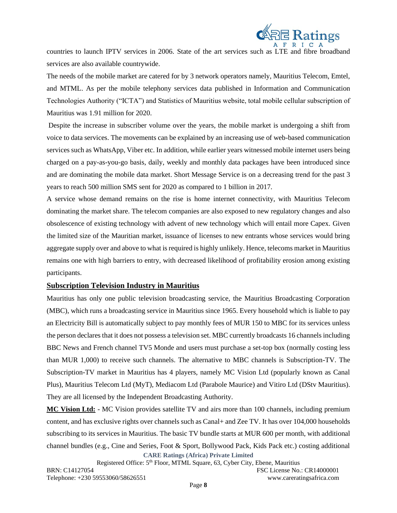

countries to launch IPTV services in 2006. State of the art services such as LTE and fibre broadband services are also available countrywide.

The needs of the mobile market are catered for by 3 network operators namely, Mauritius Telecom, Emtel, and MTML. As per the mobile telephony services data published in Information and Communication Technologies Authority ("ICTA") and Statistics of Mauritius website, total mobile cellular subscription of Mauritius was 1.91 million for 2020.

Despite the increase in subscriber volume over the years, the mobile market is undergoing a shift from voice to data services. The movements can be explained by an increasing use of web-based communication services such as WhatsApp, Viber etc. In addition, while earlier years witnessed mobile internet users being charged on a pay-as-you-go basis, daily, weekly and monthly data packages have been introduced since and are dominating the mobile data market. Short Message Service is on a decreasing trend for the past 3 years to reach 500 million SMS sent for 2020 as compared to 1 billion in 2017.

A service whose demand remains on the rise is home internet connectivity, with Mauritius Telecom dominating the market share. The telecom companies are also exposed to new regulatory changes and also obsolescence of existing technology with advent of new technology which will entail more Capex. Given the limited size of the Mauritian market, issuance of licenses to new entrants whose services would bring aggregate supply over and above to what is required is highly unlikely. Hence, telecoms market in Mauritius remains one with high barriers to entry, with decreased likelihood of profitability erosion among existing participants.

## **Subscription Television Industry in Mauritius**

Mauritius has only one public television broadcasting service, the Mauritius Broadcasting Corporation (MBC), which runs a broadcasting service in Mauritius since 1965. Every household which is liable to pay an Electricity Bill is automatically subject to pay monthly fees of MUR 150 to MBC for its services unless the person declares that it does not possess a television set. MBC currently broadcasts 16 channels including BBC News and French channel TV5 Monde and users must purchase a set-top box (normally costing less than MUR 1,000) to receive such channels. The alternative to MBC channels is Subscription-TV. The Subscription-TV market in Mauritius has 4 players, namely MC Vision Ltd (popularly known as Canal Plus), Mauritius Telecom Ltd (MyT), Mediacom Ltd (Parabole Maurice) and Vitiro Ltd (DStv Mauritius). They are all licensed by the Independent Broadcasting Authority.

**CARE Ratings (Africa) Private Limited MC Vision Ltd:** - MC Vision provides satellite TV and airs more than 100 channels, including premium content, and has exclusive rights over channels such as Canal+ and Zee TV. It has over 104,000 households subscribing to its services in Mauritius. The basic TV bundle starts at MUR 600 per month, with additional channel bundles (e.g., Cine and Series, Foot & Sport, Bollywood Pack, Kids Pack etc.) costing additional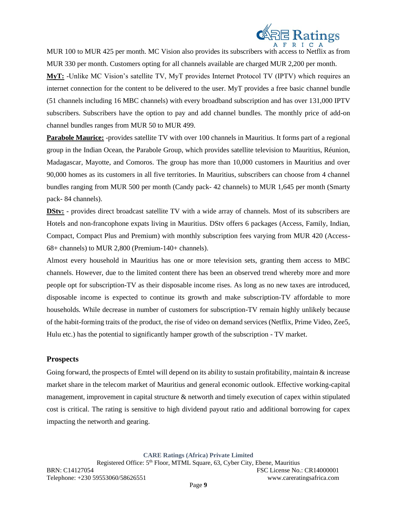

MUR 100 to MUR 425 per month. MC Vision also provides its subscribers with access to Netflix as from MUR 330 per month. Customers opting for all channels available are charged MUR 2,200 per month.

**MyT:** -Unlike MC Vision's satellite TV, MyT provides Internet Protocol TV (IPTV) which requires an internet connection for the content to be delivered to the user. MyT provides a free basic channel bundle (51 channels including 16 MBC channels) with every broadband subscription and has over 131,000 IPTV subscribers. Subscribers have the option to pay and add channel bundles. The monthly price of add-on channel bundles ranges from MUR 50 to MUR 499.

**Parabole Maurice:** -provides satellite TV with over 100 channels in Mauritius. It forms part of a regional group in the Indian Ocean, the Parabole Group, which provides satellite television to Mauritius, Réunion, Madagascar, Mayotte, and Comoros. The group has more than 10,000 customers in Mauritius and over 90,000 homes as its customers in all five territories. In Mauritius, subscribers can choose from 4 channel bundles ranging from MUR 500 per month (Candy pack- 42 channels) to MUR 1,645 per month (Smarty pack- 84 channels).

**DStv:** - provides direct broadcast satellite TV with a wide array of channels. Most of its subscribers are Hotels and non-francophone expats living in Mauritius. DStv offers 6 packages (Access, Family, Indian, Compact, Compact Plus and Premium) with monthly subscription fees varying from MUR 420 (Access-68+ channels) to MUR 2,800 (Premium-140+ channels).

Almost every household in Mauritius has one or more television sets, granting them access to MBC channels. However, due to the limited content there has been an observed trend whereby more and more people opt for subscription-TV as their disposable income rises. As long as no new taxes are introduced, disposable income is expected to continue its growth and make subscription-TV affordable to more households. While decrease in number of customers for subscription-TV remain highly unlikely because of the habit-forming traits of the product, the rise of video on demand services (Netflix, Prime Video, Zee5, Hulu etc.) has the potential to significantly hamper growth of the subscription - TV market.

## **Prospects**

Going forward, the prospects of Emtel will depend on its ability to sustain profitability, maintain & increase market share in the telecom market of Mauritius and general economic outlook. Effective working-capital management, improvement in capital structure & networth and timely execution of capex within stipulated cost is critical. The rating is sensitive to high dividend payout ratio and additional borrowing for capex impacting the networth and gearing.

**CARE Ratings (Africa) Private Limited**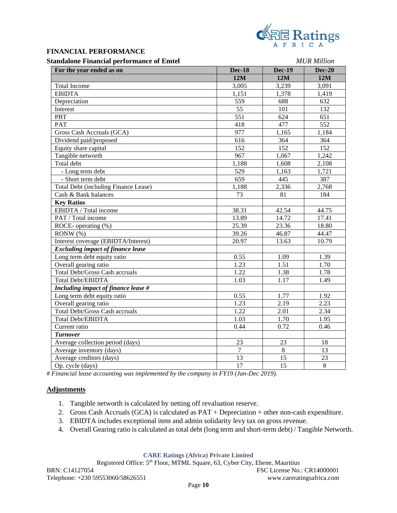

### **FINANCIAL PERFORMANCE**

### **Standalone Financial performance of Emtel** *MUR Million*

| tanuarone i manerar per formance or Emiter  | <b>IN UR INTHULUIL</b> |                  |                 |
|---------------------------------------------|------------------------|------------------|-----------------|
| For the year ended as on                    | <b>Dec-18</b>          | <b>Dec-19</b>    | <b>Dec-20</b>   |
|                                             | 12M                    | 12M              | 12M             |
| <b>Total Income</b>                         | 3,005                  | 3,239            | 3,091           |
| <b>EBIDTA</b>                               | 1,151                  | 1,378            | 1,419           |
| Depreciation                                | 559                    | 688              | 632             |
| Interest                                    | 55                     | 101              | 132             |
| PBT                                         | $\overline{551}$       | 624              | 651             |
| <b>PAT</b>                                  | 418                    | 477              | 552             |
| Gross Cash Accruals (GCA)                   | 977                    | 1,165            | 1,184           |
| Dividend paid/proposed                      | $\overline{616}$       | 364              | 364             |
| Equity share capital                        | 152                    | $\overline{152}$ | 152             |
| Tangible networth                           | 967                    | 1,067            | 1,242           |
| Total debt                                  | 1,188                  | 1,608            | 2,108           |
| - Long term debt                            | 529                    | 1,163            | 1,721           |
| - Short term debt                           | 659                    | 445              | 387             |
| <b>Total Debt (including Finance Lease)</b> | 1,188                  | 2,336            | 2,768           |
| Cash & Bank balances                        | 73                     | 81               | 184             |
| <b>Key Ratios</b>                           |                        |                  |                 |
| EBIDTA / Total income                       | 38.31                  | 42.54            | 44.75           |
| PAT / Total income                          | 13.89                  | 14.72            | 17.41           |
| ROCE-operating $(\%)$                       | 25.39                  | 23.36            | 18.80           |
| RONW (%)                                    | 39.26                  | 46.87            | 44.47           |
| Interest coverage (EBIDTA/Interest)         | 20.97                  | 13.63            | 10.79           |
| <b>Excluding impact of finance lease</b>    |                        |                  |                 |
| Long term debt equity ratio                 | 0.55                   | 1.09             | 1.39            |
| Overall gearing ratio                       | 1.23                   | 1.51             | 1.70            |
| <b>Total Debt/Gross Cash accruals</b>       | 1.22                   | 1.38             | 1.78            |
| Total Debt/EBIDTA                           | 1.03                   | 1.17             | 1.49            |
| Including impact of finance lease #         |                        |                  |                 |
| Long term debt equity ratio                 | 0.55                   | 1.77             | 1.92            |
| Overall gearing ratio                       | 1.23                   | 2.19             | 2.23            |
| <b>Total Debt/Gross Cash accruals</b>       | 1.22                   | 2.01             | 2.34            |
| Total Debt/EBIDTA                           | 1.03                   | 1.70             | 1.95            |
| Current ratio                               | 0.44                   | 0.72             | 0.46            |
| <b>Turnover</b>                             |                        |                  |                 |
| Average collection period (days)            | 23                     | 23               | 18              |
| Average inventory (days)                    | $\overline{7}$         | $\overline{8}$   | $\overline{13}$ |
| Average creditors (days)                    | $\overline{13}$        | $\overline{15}$  | $\overline{23}$ |
| Op. cycle (days)                            | 17                     | $\overline{15}$  | $8\,$           |

*# Financial lease accounting was implemented by the company in FY19 (Jan-Dec 2019).*

#### **Adjustments**

- 1. Tangible networth is calculated by netting off revaluation reserve.
- 2. Gross Cash Accruals (GCA) is calculated as PAT + Depreciation + other non-cash expenditure.
- 3. EBIDTA includes exceptional item and admin solidarity levy tax on gross revenue.
- 4. Overall Gearing ratio is calculated as total debt (long term and short-term debt) / Tangible Networth.

**CARE Ratings (Africa) Private Limited**